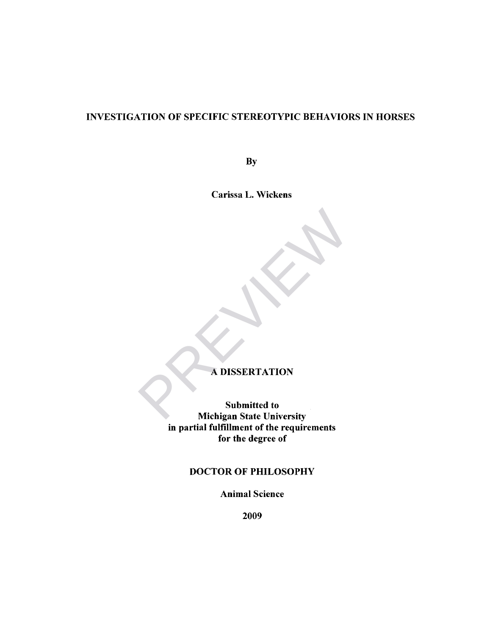## INVESTIGATION OF SPECIFIC STEREOTYPIC BEHAVIORS IN HORSES

**By** 

Carissa L. Wickens

## A DISSERTATION

Submitted to Michigan State University in partial fulfillment of the requirements for the degree of A DISSERTATION<br>Submitted to<br>Michigan State University

## DOCTOR OF PHILOSOPHY

Animal Science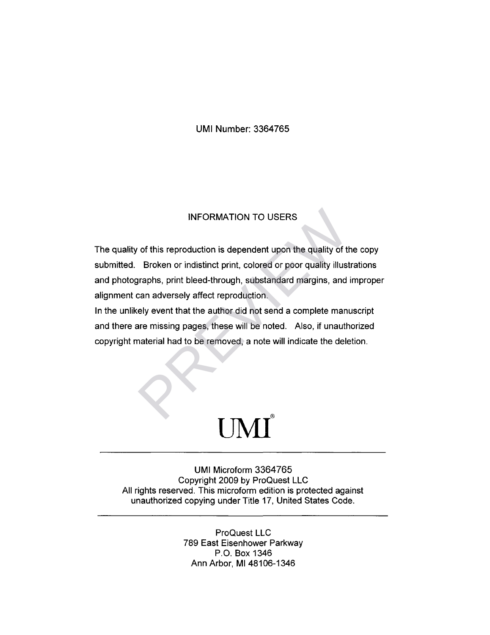## UMI Number: 3364765

### INFORMATION TO USERS

The quality of this reproduction is dependent upon the quality of the copy submitted. Broken or indistinct print, colored or poor quality illustrations and photographs, print bleed-through, substandard margins, and improper alignment can adversely affect reproduction. INFORMATION TO USERS<br>of this reproduction is dependent upon the quality of the<br>Broken or indistinct print, colored or poor quality illust<br>graphs, print bleed-through, substandard margins, and<br>can adversely affect reproduct

In the unlikely event that the author did not send a complete manuscript and there are missing pages, these will be noted. Also, if unauthorized copyright material had to be removed, a note will indicate the deletion.

# $\mathbf{U}\mathbf{M}\mathbf{I}^*$

UMI Microform 3364765 Copyright 2009 by ProQuest LLC All rights reserved. This microform edition is protected against unauthorized copying under Title 17, United States Code.

> ProQuest LLC 789 East Eisenhower Parkway P.O. Box 1346 Ann Arbor, Ml 48106-1346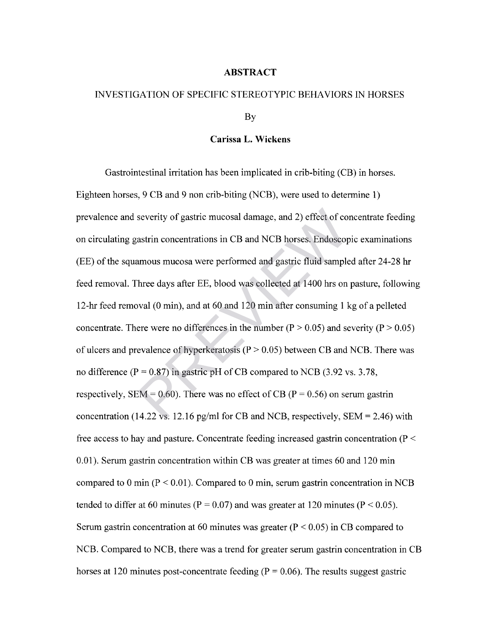## **ABSTRACT**

## INVESTIGATION OF SPECIFIC STEREOTYPIC BEHAVIORS IN HORSES

By

## **Carissa L. Wickens**

Gastrointestinal irritation has been implicated in crib-biting (CB) in horses. Eighteen horses, 9 CB and 9 non crib-biting (NCB), were used to determine 1) prevalence and severity of gastric mucosal damage, and 2) effect of concentrate feeding on circulating gastrin concentrations in CB and NCB horses. Endoscopic examinations (EE) of the squamous mucosa were performed and gastric fluid sampled after 24-28 hr feed removal. Three days after EE, blood was collected at 1400 hrs on pasture, following 12-hr feed removal (0 min), and at 60 and 120 min after consuming 1 kg of a pelleted concentrate. There were no differences in the number ( $P > 0.05$ ) and severity ( $P > 0.05$ ) of ulcers and prevalence of hyperkeratosis ( $P > 0.05$ ) between CB and NCB. There was no difference ( $P = 0.87$ ) in gastric pH of CB compared to NCB (3.92 vs. 3.78, respectively, SEM = 0.60). There was no effect of CB ( $P = 0.56$ ) on serum gastrin concentration (14.22 vs. 12.16 pg/ml for CB and NCB, respectively,  $SEM = 2.46$ ) with free access to hay and pasture. Concentrate feeding increased gastrin concentration (P < 0.01). Serum gastrin concentration within CB was greater at times 60 and 120 min compared to 0 min ( $P < 0.01$ ). Compared to 0 min, serum gastrin concentration in NCB tended to differ at 60 minutes ( $P = 0.07$ ) and was greater at 120 minutes ( $P < 0.05$ ). Serum gastrin concentration at 60 minutes was greater ( $P \le 0.05$ ) in CB compared to NCB. Compared to NCB, there was a trend for greater serum gastrin concentration in CB horses at 120 minutes post-concentrate feeding ( $P = 0.06$ ). The results suggest gastric severity of gastric mucosal damage, and 2) effect of constrin concentrations in CB and NCB horses. Endoscoparmous mucosa were performed and gastric fluid sample hree days after EE, blood was collected at 1400 hrs on oval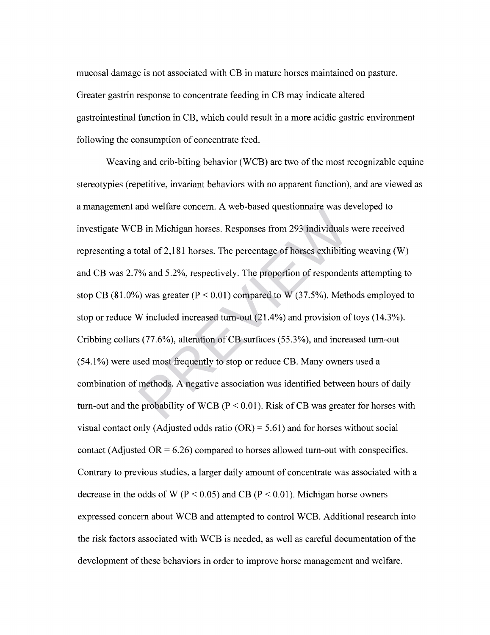mucosal damage is not associated with CB in mature horses maintained on pasture. Greater gastrin response to concentrate feeding in CB may indicate altered gastrointestinal function in CB, which could result in a more acidic gastric environment following the consumption of concentrate feed.

Weaving and crib-biting behavior (WCB) are two of the most recognizable equine stereotypies (repetitive, invariant behaviors with no apparent function), and are viewed as a management and welfare concern. A web-based questionnaire was developed to investigate WCB in Michigan horses. Responses from 293 individuals were received representing a total of 2,181 horses. The percentage of horses exhibiting weaving (W) and CB was 2.7% and 5.2%, respectively. The proportion of respondents attempting to stop CB (81.0%) was greater ( $P < 0.01$ ) compared to W (37.5%). Methods employed to stop or reduce W included increased turn-out (21.4%) and provision of toys (14.3%). Cribbing collars (77.6%), alteration of CB surfaces (55.3%), and increased turn-out (54.1%) were used most frequently to stop or reduce CB. Many owners used a combination of methods. A negative association was identified between hours of daily turn-out and the probability of WCB ( $P < 0.01$ ). Risk of CB was greater for horses with visual contact only (Adjusted odds ratio  $(OR) = 5.61$ ) and for horses without social contact (Adjusted  $OR = 6.26$ ) compared to horses allowed turn-out with conspecifics. Contrary to previous studies, a larger daily amount of concentrate was associated with a decrease in the odds of W ( $P < 0.05$ ) and CB ( $P < 0.01$ ). Michigan horse owners expressed concern about WCB and attempted to control WCB. Additional research into the risk factors associated with WCB is needed, as well as careful documentation of the development of these behaviors in order to improve horse management and welfare. B in Michigan horses. Responses from 293 individuals<br>otal of 2,181 horses. The percentage of horses exhibitir<br>"% and 5.2%, respectively. The proportion of responder<br>b) was greater ( $P < 0.01$ ) compared to W (37.5%). Meth<br>W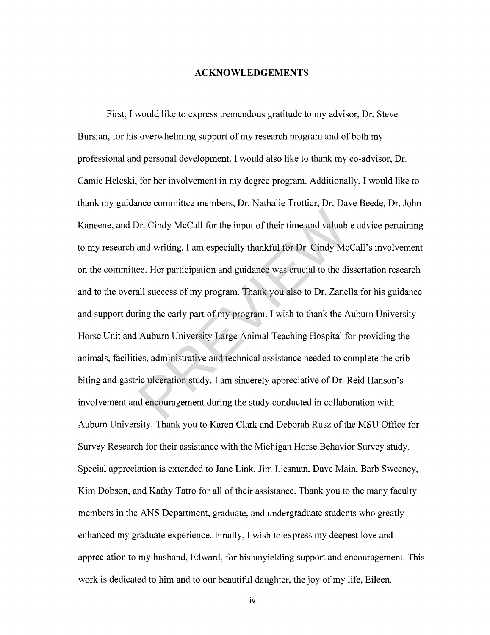#### **ACKNOWLEDGEMENTS**

First, I would like to express tremendous gratitude to my advisor, Dr. Steve Bursian, for his overwhelming support of my research program and of both my professional and personal development. I would also like to thank my co-advisor, Dr. Camie Heleski, for her involvement in my degree program. Additionally, I would like to thank my guidance committee members, Dr. Nathalie Trottier, Dr. Dave Beede, Dr. John Kaneene, and Dr. Cindy McCall for the input of their time and valuable advice pertaining to my research and writing. I am especially thankful for Dr. Cindy McCall's involvement on the committee. Her participation and guidance was crucial to the dissertation research and to the overall success of my program. Thank you also to Dr. Zanella for his guidance and support during the early part of my program. I wish to thank the Auburn University Horse Unit and Auburn University Large Animal Teaching Hospital for providing the animals, facilities, administrative and technical assistance needed to complete the cribbiting and gastric ulceration study. I am sincerely appreciative of Dr. Reid Hanson's involvement and encouragement during the study conducted in collaboration with Auburn University. Thank you to Karen Clark and Deborah Rusz of the MSU Office for Survey Research for their assistance with the Michigan Horse Behavior Survey study. Special appreciation is extended to Jane Link, Jim Liesman, Dave Main, Barb Sweeney, Kim Dobson, and Kathy Tatro for all of their assistance. Thank you to the many faculty members in the ANS Department, graduate, and undergraduate students who greatly enhanced my graduate experience. Finally, I wish to express my deepest love and appreciation to my husband, Edward, for his unyielding support and encouragement. This work is dedicated to him and to our beautiful daughter, the joy of my life, Eileen. Dr. Cindy McCall for the input of their time and valuable and writing. I am especially thankful for Dr. Cindy Mc ee. Her participation and guidance was crucial to the diall success of my program. Thank you also to Dr. Zane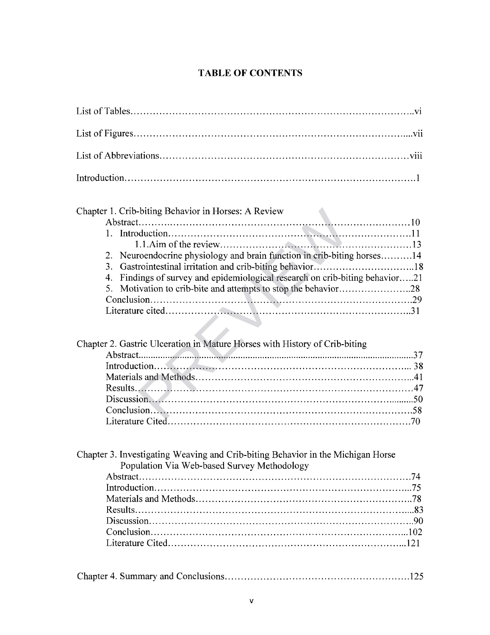## **TABLE OF CONTENTS**

| Chapter 1. Crib-biting Behavior in Horses: A Review<br>2. Neuroendocrine physiology and brain function in crib-biting horses14<br>3.<br>Findings of survey and epidemiological research on crib-biting behavior21<br>4.<br>5.<br>Chapter 2. Gastric Ulceration in Mature Horses with History of Crib-biting<br>Discussion.<br>$\frac{1}{20}$ |  |
|----------------------------------------------------------------------------------------------------------------------------------------------------------------------------------------------------------------------------------------------------------------------------------------------------------------------------------------------|--|
|                                                                                                                                                                                                                                                                                                                                              |  |
|                                                                                                                                                                                                                                                                                                                                              |  |
|                                                                                                                                                                                                                                                                                                                                              |  |
|                                                                                                                                                                                                                                                                                                                                              |  |
|                                                                                                                                                                                                                                                                                                                                              |  |
|                                                                                                                                                                                                                                                                                                                                              |  |
|                                                                                                                                                                                                                                                                                                                                              |  |
|                                                                                                                                                                                                                                                                                                                                              |  |
|                                                                                                                                                                                                                                                                                                                                              |  |
|                                                                                                                                                                                                                                                                                                                                              |  |
|                                                                                                                                                                                                                                                                                                                                              |  |
|                                                                                                                                                                                                                                                                                                                                              |  |
|                                                                                                                                                                                                                                                                                                                                              |  |
|                                                                                                                                                                                                                                                                                                                                              |  |
|                                                                                                                                                                                                                                                                                                                                              |  |
|                                                                                                                                                                                                                                                                                                                                              |  |
|                                                                                                                                                                                                                                                                                                                                              |  |
|                                                                                                                                                                                                                                                                                                                                              |  |
|                                                                                                                                                                                                                                                                                                                                              |  |
|                                                                                                                                                                                                                                                                                                                                              |  |

| Chapter 2. Gastric Ulceration in Mature Horses with History of Crib-biting |  |
|----------------------------------------------------------------------------|--|
|                                                                            |  |
|                                                                            |  |
|                                                                            |  |
|                                                                            |  |
|                                                                            |  |
|                                                                            |  |
|                                                                            |  |

| Chapter 3. Investigating Weaving and Crib-biting Behavior in the Michigan Horse |  |
|---------------------------------------------------------------------------------|--|
| Population Via Web-based Survey Methodology                                     |  |
|                                                                                 |  |
|                                                                                 |  |
|                                                                                 |  |
|                                                                                 |  |
|                                                                                 |  |
|                                                                                 |  |
|                                                                                 |  |
|                                                                                 |  |

|--|--|--|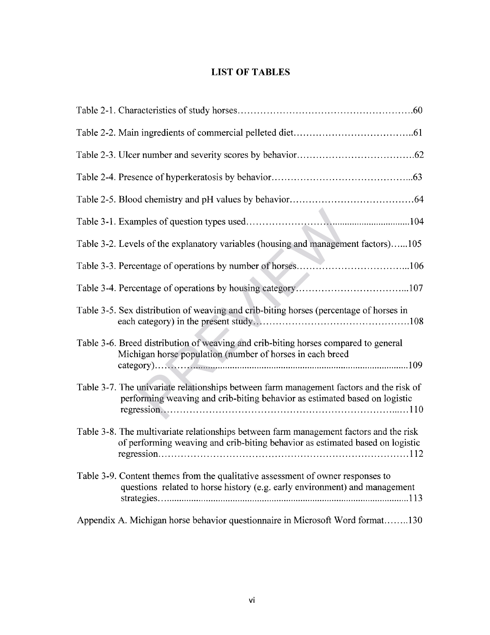## **LIST OF TABLES**

| Table 3-2. Levels of the explanatory variables (housing and management factors)105                                                                                      |
|-------------------------------------------------------------------------------------------------------------------------------------------------------------------------|
|                                                                                                                                                                         |
|                                                                                                                                                                         |
| Table 3-5. Sex distribution of weaving and crib-biting horses (percentage of horses in                                                                                  |
| Table 3-6. Breed distribution of weaving and crib-biting horses compared to general<br>Michigan horse population (number of horses in each breed                        |
| Table 3-7. The univariate relationships between farm management factors and the risk of<br>performing weaving and crib-biting behavior as estimated based on logistic   |
| Table 3-8. The multivariate relationships between farm management factors and the risk<br>of performing weaving and crib-biting behavior as estimated based on logistic |
| Table 3-9. Content themes from the qualitative assessment of owner responses to<br>questions related to horse history (e.g. early environment) and management           |
| Appendix A. Michigan horse behavior questionnaire in Microsoft Word format130                                                                                           |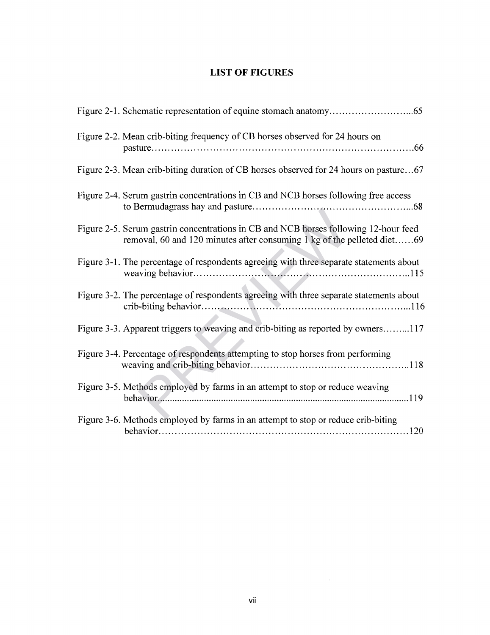## **LIST OF FIGURES**

| Figure 2-2. Mean crib-biting frequency of CB horses observed for 24 hours on                                                                                    |
|-----------------------------------------------------------------------------------------------------------------------------------------------------------------|
| Figure 2-3. Mean crib-biting duration of CB horses observed for 24 hours on pasture67                                                                           |
| Figure 2-4. Serum gastrin concentrations in CB and NCB horses following free access                                                                             |
| Figure 2-5. Serum gastrin concentrations in CB and NCB horses following 12-hour feed<br>removal, 60 and 120 minutes after consuming 1 kg of the pelleted diet69 |
| Figure 3-1. The percentage of respondents agreeing with three separate statements about                                                                         |
| Figure 3-2. The percentage of respondents agreeing with three separate statements about                                                                         |
| Figure 3-3. Apparent triggers to weaving and crib-biting as reported by owners117                                                                               |
| Figure 3-4. Percentage of respondents attempting to stop horses from performing                                                                                 |
| Figure 3-5. Methods employed by farms in an attempt to stop or reduce weaving                                                                                   |
| Figure 3-6. Methods employed by farms in an attempt to stop or reduce crib-biting                                                                               |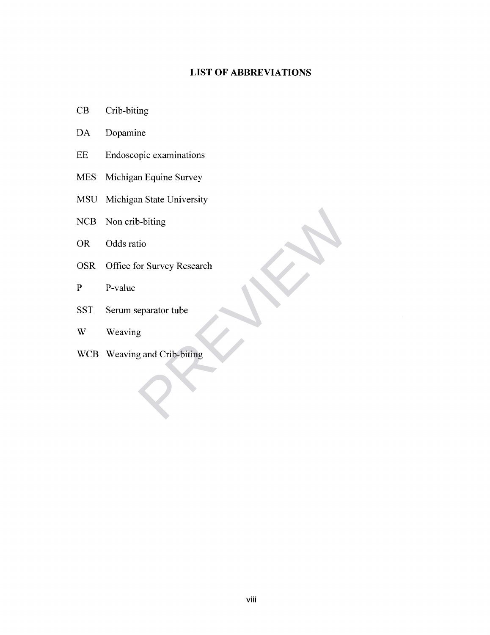## **LIST OF ABBREVIATIONS**

- CB Crib-biting
- DA Dopamine
- EE Endoscopic examinations
- MES Michigan Equine Survey
- MSU Michigan State University
- NCB Non crib-biting
- OR Odds ratio
- OSR Office for Survey Research b-biting<br>tio<br>or Survey Research<br>eparator tube<br>g<br>g<br>and Crib-biting
- P P-value
- SST Serum separator tube
- W Weaving
- WCB Weaving and Crib-biting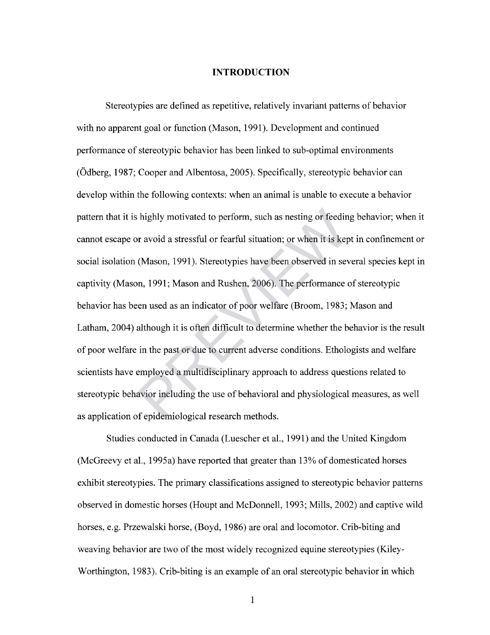#### **INTRODUCTION**

Stereotypies are defined as repetitive, relatively invariant patterns of behavior with no apparent goal or function (Mason, 1991). Development and continued performance of stereotypic behavior has been linked to sub-optimal environments (Odberg, 1987; Cooper and Albentosa, 2005). Specifically, stereotypic behavior can develop within the following contexts: when an animal is unable to execute a behavior pattern that it is highly motivated to perform, such as nesting or feeding behavior; when it cannot escape or avoid a stressful or fearful situation; or when it is kept in confinement or social isolation (Mason, 1991). Stereotypies have been observed in several species kept in captivity (Mason, 1991; Mason and Rushen, 2006). The performance of stereotypic behavior has been used as an indicator of poor welfare (Broom, 1983; Mason and Latham, 2004) although it is often difficult to determine whether the behavior is the result of poor welfare in the past or due to current adverse conditions. Ethologists and welfare scientists have employed a multidisciplinary approach to address questions related to stereotypic behavior including the use of behavioral and physiological measures, as well as application of epidemiological research methods. highly motivated to perform, such as nesting or feedin r avoid a stressful or fearful situation; or when it is kep (Mason, 1991). Stereotypies have been observed in sev n, 1991; Mason and Rushen, 2006). The performance or

Studies conducted in Canada (Luescher et al., 1991) and the United Kingdom (McGreevy et al., 1995a) have reported that greater than 13% of domesticated horses exhibit stereotypies. The primary classifications assigned to stereotypic behavior patterns observed in domestic horses (Houpt and McDonnell, 1993; Mills, 2002) and captive wild horses, e.g. Przewalski horse, (Boyd, 1986) are oral and locomotor. Crib-biting and weaving behavior are two of the most widely recognized equine stereotypies (Kiley-Worthington, 1983). Crib-biting is an example of an oral stereotypic behavior in which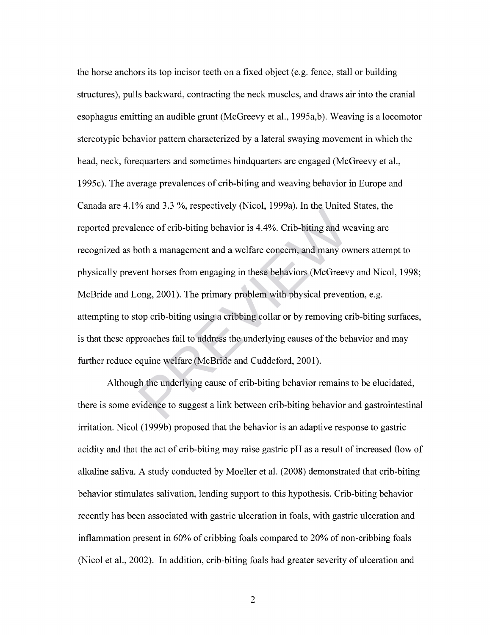the horse anchors its top incisor teeth on a fixed object (e.g. fence, stall or building structures), pulls backward, contracting the neck muscles, and draws air into the cranial esophagus emitting an audible grunt (McGreevy et al., 1995a,b). Weaving is a locomotor stereotypic behavior pattern characterized by a lateral swaying movement in which the head, neck, forequarters and sometimes hindquarters are engaged (McGreevy et al., 1995c). The average prevalences of crib-biting and weaving behavior in Europe and Canada are 4.1% and 3.3 %, respectively (Nicol, 1999a). In the United States, the reported prevalence of crib-biting behavior is 4.4%. Crib-biting and weaving are recognized as both a management and a welfare concern, and many owners attempt to physically prevent horses from engaging in these behaviors (McGreevy and Nicol, 1998; McBride and Long, 2001). The primary problem with physical prevention, e.g. attempting to stop crib-biting using a cribbing collar or by removing crib-biting surfaces, is that these approaches fail to address the underlying causes of the behavior and may further reduce equine welfare (McBride and Cuddeford, 2001). For and 3.3 7d, respectively (1006, 1335). In the child<br>ence of crib-biting behavior is 4.4%. Crib-biting and we<br>oth a management and a welfare concern, and many ov<br>ent horses from engaging in these behaviors (McGreev<br>ong,

Although the underlying cause of crib-biting behavior remains to be elucidated, there is some evidence to suggest a link between crib-biting behavior and gastrointestinal irritation. Nicol (1999b) proposed that the behavior is an adaptive response to gastric acidity and that the act of crib-biting may raise gastric pH as a result of increased flow of alkaline saliva. A study conducted by Moeller et al. (2008) demonstrated that crib-biting behavior stimulates salivation, lending support to this hypothesis. Crib-biting behavior recently has been associated with gastric ulceration in foals, with gastric ulceration and inflammation present in 60% of cribbing foals compared to 20% of non-cribbing foals (Nicol et al., 2002). In addition, crib-biting foals had greater severity of ulceration and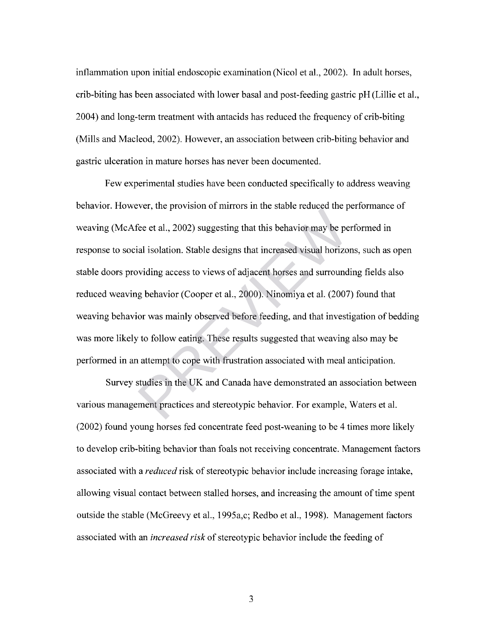inflammation upon initial endoscopic examination (Nicol et al, 2002). In adult horses, crib-biting has been associated with lower basal and post-feeding gastric pH (Lillie et al., 2004) and long-term treatment with antacids has reduced the frequency of crib-biting (Mills and Macleod, 2002). However, an association between crib-biting behavior and gastric ulceration in mature horses has never been documented.

Few experimental studies have been conducted specifically to address weaving behavior. However, the provision of mirrors in the stable reduced the performance of weaving (McAfee et al., 2002) suggesting that this behavior may be performed in response to social isolation. Stable designs that increased visual horizons, such as open stable doors providing access to views of adjacent horses and surrounding fields also reduced weaving behavior (Cooper et al., 2000). Ninomiya et al. (2007) found that weaving behavior was mainly observed before feeding, and that investigation of bedding was more likely to follow eating. These results suggested that weaving also may be performed in an attempt to cope with frustration associated with meal anticipation. Free et al., 2002) suggesting that this behavior may be percent al., 2002) suggesting that this behavior may be percent al., 2002) suggesting that increased visual horizo widing access to views of adjacent horses and surro

Survey studies in the UK and Canada have demonstrated an association between various management practices and stereotypic behavior. For example, Waters et al. (2002) found young horses fed concentrate feed post-weaning to be 4 times more likely to develop crib-biting behavior than foals not receiving concentrate. Management factors associated with a *reduced* risk of stereotypic behavior include increasing forage intake, allowing visual contact between stalled horses, and increasing the amount of time spent outside the stable (McGreevy et al., 1995a,c; Redbo et al., 1998). Management factors associated with an *increased risk* of stereotypic behavior include the feeding of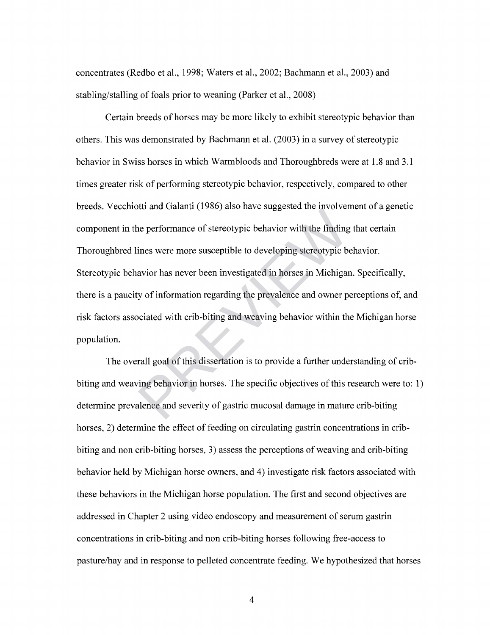concentrates (Redbo et al., 1998; Waters et al., 2002; Bachmann et al, 2003) and stabling/stalling of foals prior to weaning (Parker et al., 2008)

Certain breeds of horses may be more likely to exhibit stereotypic behavior than others. This was demonstrated by Bachmann et al. (2003) in a survey of stereotypic behavior in Swiss horses in which Warmbloods and Thoroughbreds were at 1.8 and 3.1 times greater risk of performing stereotypic behavior, respectively, compared to other breeds. Vecchiotti and Galanti (1986) also have suggested the involvement of a genetic component in the performance of stereotypic behavior with the finding that certain Thoroughbred lines were more susceptible to developing stereotypic behavior. Stereotypic behavior has never been investigated in horses in Michigan. Specifically, there is a paucity of information regarding the prevalence and owner perceptions of, and risk factors associated with crib-biting and weaving behavior within the Michigan horse population. The performance of stereotypic behavior with the finding<br>ines were more susceptible to developing stereotypic b<br>avior has never been investigated in horses in Michigar<br>y of information regarding the prevalence and owner p<br>

The overall goal of this dissertation is to provide a further understanding of cribbiting and weaving behavior in horses. The specific objectives of this research were to: 1) determine prevalence and severity of gastric mucosal damage in mature crib-biting horses, 2) determine the effect of feeding on circulating gastrin concentrations in cribbiting and non crib-biting horses, 3) assess the perceptions of weaving and crib-biting behavior held by Michigan horse owners, and 4) investigate risk factors associated with these behaviors in the Michigan horse population. The first and second objectives are addressed in Chapter 2 using video endoscopy and measurement of serum gastrin concentrations in crib-biting and non crib-biting horses following free-access to pasture/hay and in response to pelleted concentrate feeding. We hypothesized that horses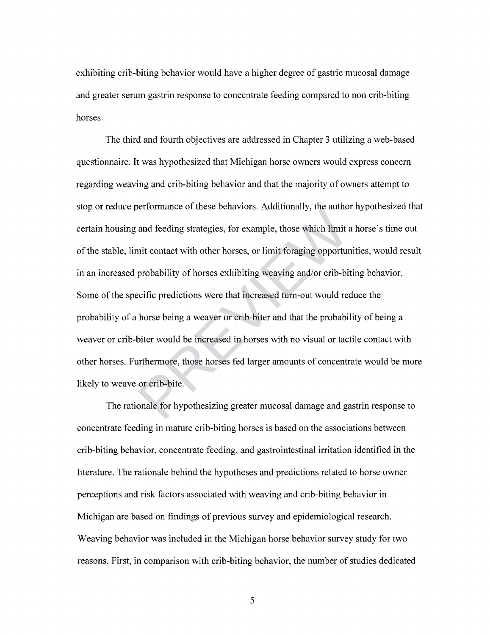exhibiting crib-biting behavior would have a higher degree of gastric mucosal damage and greater serum gastrin response to concentrate feeding compared to non crib-biting horses.

The third and fourth objectives are addressed in Chapter 3 utilizing a web-based questionnaire. It was hypothesized that Michigan horse owners would express concern regarding weaving and crib-biting behavior and that the majority of owners attempt to stop or reduce performance of these behaviors. Additionally, the author hypothesized that certain housing and feeding strategies, for example, those which limit a horse's time out of the stable, limit contact with other horses, or limit foraging opportunities, would result in an increased probability of horses exhibiting weaving and/or crib-biting behavior. Some of the specific predictions were that increased turn-out would reduce the probability of a horse being a weaver or crib-biter and that the probability of being a weaver or crib-biter would be increased in horses with no visual or tactile contact with other horses. Furthermore, those horses fed larger amounts of concentrate would be more likely to weave or crib-bite. and feeding strategies, for example, those which limit and feeding strategies, for example, those which limit and feeding strategies, for example, those which limit and the contract with other horses, or limit foraging opp

The rationale for hypothesizing greater mucosal damage and gastrin response to concentrate feeding in mature crib-biting horses is based on the associations between crib-biting behavior, concentrate feeding, and gastrointestinal irritation identified in the literature. The rationale behind the hypotheses and predictions related to horse owner perceptions and risk factors associated with weaving and crib-biting behavior in Michigan are based on findings of previous survey and epidemiological research. Weaving behavior was included in the Michigan horse behavior survey study for two reasons. First, in comparison with crib-biting behavior, the number of studies dedicated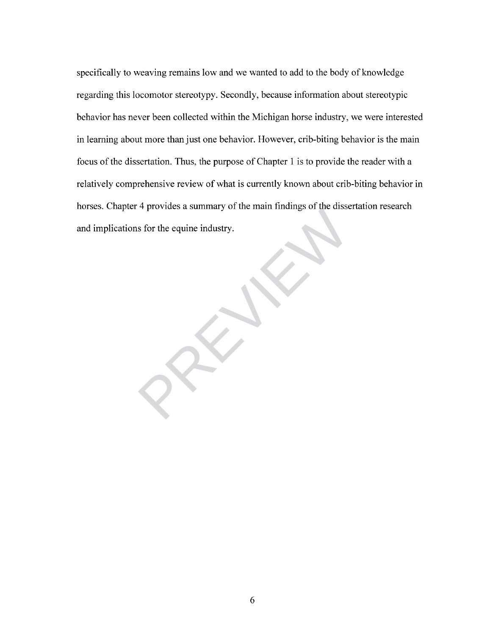specifically to weaving remains low and we wanted to add to the body of knowledge regarding this locomotor stereotypy. Secondly, because information about stereotypic behavior has never been collected within the Michigan horse industry, we were interested in learning about more than just one behavior. However, crib-biting behavior is the main focus of the dissertation. Thus, the purpose of Chapter 1 is to provide the reader with a relatively comprehensive review of what is currently known about crib-biting behavior in horses. Chapter 4 provides a summary of the main findings of the dissertation research and implications for the equine industry. of for the equine industry.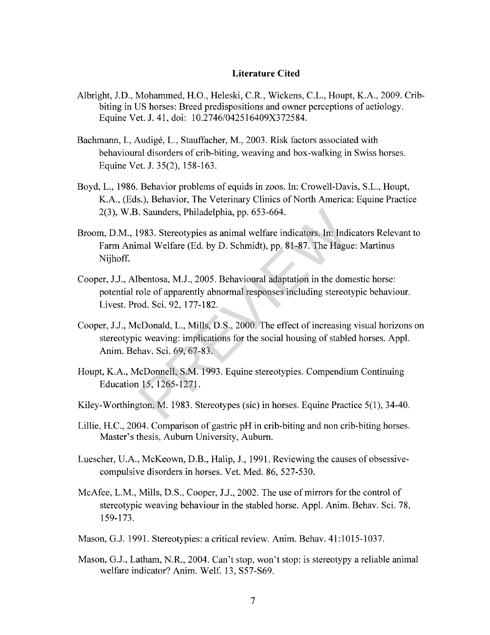#### **Literature Cited**

- Albright, J.D., Mohammed, H.O., Heleski, C.R., Wickens, C.L., Houpt, K.A., 2009. Cribbiting in US horses: Breed predispositions and owner perceptions of aetiology. Equine Vet. J. 41, doi: 10.2746/042516409X372584.
- Bachmann, I., Audigé, L., Stauffacher, M., 2003. Risk factors associated with behavioural disorders of crib-biting, weaving and box-walking in Swiss horses. Equine Vet. J. 35(2), 158-163.
- Boyd, L., 1986. Behavior problems of equids in zoos. In: Crowell-Davis, S.L., Houpt, K.A., (Eds.), Behavior, The Veterinary Clinics of North America: Equine Practice 2(3), W.B. Saunders, Philadelphia, pp. 653-664.
- Broom, D.M., 1983. Stereotypies as animal welfare indicators. In: Indicators Relevant to Farm Animal Welfare (Ed. by D. Schmidt), pp. 81-87. The Hague: Martinus Nijhoff. Examples, Philadelphia, pp. 653-664.<br>
1983. Stereotypies as animal welfare indicators. In: Indimal Welfare (Ed. by D. Schmidt), pp. 81-87. The Hagu<br>
bentosa, M.J., 2005. Behavioural adaptation in the don<br>
role of apparentl
- Cooper, J.J., Albentosa, M.J., 2005. Behavioural adaptation in the domestic horse: potential role of apparently abnormal responses including stereotypic behaviour. Livest. Prod. Sci. 92, 177-182.
- Cooper, J.J., McDonald, L., Mills, D.S., 2000. The effect of increasing visual horizons on stereotypic weaving: implications for the social housing of stabled horses. Appl. Anim. Behav. Sci. 69, 67-83.
- Houpt, K.A., McDonnell, S.M. 1993. Equine stereotypies. Compendium Continuing Education 15, 1265-1271.
- Kiley-Worthington, M. 1983. Stereotypes (sic) in horses. Equine Practice 5(1), 34-40.
- Lillie, H.C., 2004. Comparison of gastric pH in crib-biting and non crib-biting horses. Master's thesis, Auburn University, Auburn.
- Luescher, U.A., McKeown, D.B., Halip, J., 1991. Reviewing the causes of obsessivecompulsive disorders in horses. Vet. Med. 86, 527-530.
- McAfee, L.M., Mills, D.S., Cooper, J.J., 2002. The use of mirrors for the control of stereotypic weaving behaviour in the stabled horse. Appl. Anim. Behav. Sci. 78, 159-173.
- Mason, G.J. 1991. Stereotypies: a critical review. Anim. Behav. 41:1015-1037.
- Mason, G.J., Latham, N.R., 2004. Can't stop, won't stop: is stereotypy a reliable animal welfare indicator? Anim. Welf. 13, S57-S69.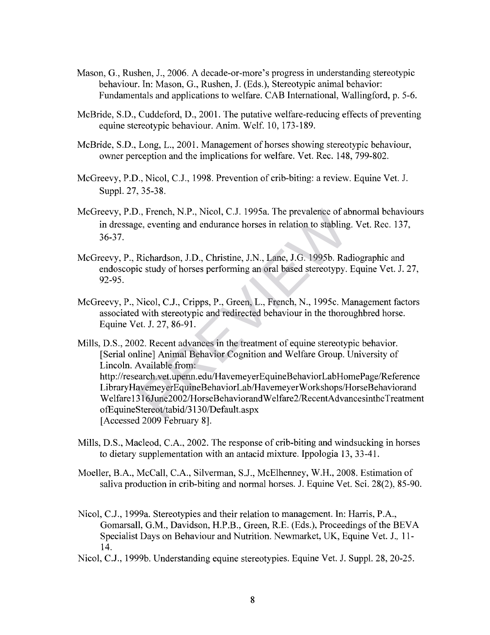- Mason, G., Rushen, J., 2006. A decade-or-more's progress in understanding stereotypic behaviour. In: Mason, G., Rushen, J. (Eds.), Stereotypic animal behavior: Fundamentals and applications to welfare. CAB International, Wallingford, p. 5-6.
- McBride, S.D., Cuddeford, D., 2001. The putative welfare-reducing effects of preventing equine stereotypic behaviour. Anim. Welf. 10, 173-189.
- McBride, S.D., Long, L., 2001. Management of horses showing stereotypic behaviour, owner perception and the implications for welfare. Vet. Rec. 148, 799-802.
- McGreevy, P.D., Nicol, C.J., 1998. Prevention of crib-biting: a review. Equine Vet. J. Suppl. 27, 35-38.
- McGreevy, P.D., French, N.P., Nicol, C.J. 1995a. The prevalence of abnormal behaviours in dressage, eventing and endurance horses in relation to stabling. Vet. Rec. 137, 36-37.
- McGreevy, P., Richardson, J.D., Christine, J.N., Lane, J.G. 1995b. Radiographic and endoscopic study of horses performing an oral based stereotypy. Equine Vet. J. 27, 92-95.
- McGreevy, P., Nicol, C.J., Cripps, P., Green, L., French, N., 1995c. Management factors associated with stereotypic and redirected behaviour in the thoroughbred horse. Equine Vet. J. 27, 86-91.

Mills, D.S., 2002. Recent advances in the treatment of equine stereotypic behavior. [Serial online] Animal Behavior Cognition and Welfare Group. University of Lincoln. Available from: <http://research.vet.upenn.edu/HavemeyerEquineBehaviorLabHomePage/Reference> LibraryHavemeyerEquineBehaviorLab/HavemeyerWorkshops/HorseBehaviorand Welfare 1316 June2002/HorseBehaviorandWelfare2/RecentAdvancesintheTreatment ofEquineStereot/tabid/3130/Default.aspx [Accessed 2009 February 8]. N., French, N.P., Nicol, C.J. 1995a. The prevalence of altation to stabling<br>
Richardson, J.D., Christine, J.N., Lane, J.G. 1995b. Radic study of horses performing an oral based stereotypy.<br>
Nicol, C.J., Cripps, P., Green,

- Mills, D.S., Macleod, C.A., 2002. The response of crib-biting and windsucking in horses to dietary supplementation with an antacid mixture. Ippologia 13, 33-41.
- Moeller, B.A., McCall, C.A., Silverman, S.J., McElhenney, W.H., 2008. Estimation of saliva production in crib-biting and normal horses. J. Equine Vet. Sci. 28(2), 85-90.
- Nicol, C.J., 1999a. Stereotypies and their relation to management. In: Harris, P.A., Gomarsall, G.M., Davidson, H.P.B., Green, R.E. (Eds.), Proceedings of the BEVA Specialist Days on Behaviour and Nutrition. Newmarket, UK, Equine Vet. J., 11- 14.
- Nicol, C.J., 1999b. Understanding equine stereotypies. Equine Vet. J. Suppl. 28, 20-25.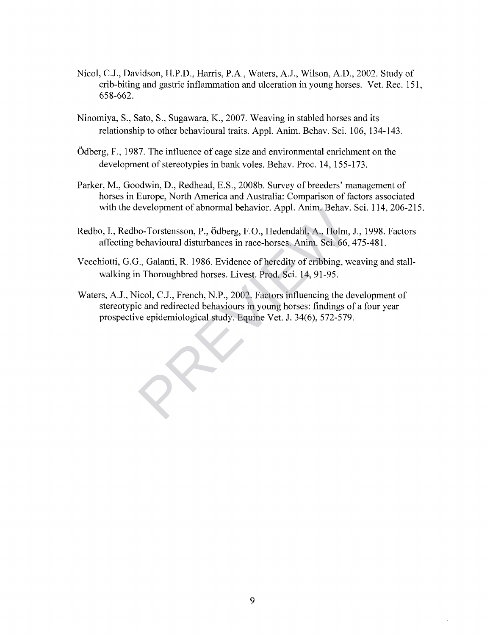- Nicol, C.J., Davidson, H.P.D., Harris, P.A., Waters, A.J., Wilson, A.D., 2002. Study of crib-biting and gastric inflammation and ulceration in young horses. Vet. Rec. 151, 658-662.
- Ninomiya, S., Sato, S., Sugawara, K., 2007. Weaving in stabled horses and its relationship to other behavioural traits. Appl. Anim. Behav. Sci. 106, 134-143.
- Odberg, F., 1987. The influence of cage size and environmental enrichment on the development of stereotypies in bank voles. Behav. Proc. 14, 155-173.
- Parker, M., Goodwin, D., Redhead, E.S., 2008b. Survey of breeders' management of horses in Europe, North America and Australia: Comparison of factors associated with the development of abnormal behavior. Appl. Anim. Behav. Sci. 114, 206-215.
- Redbo, I., Redbo-Torstensson, P., Ödberg, F.O., Hedendahl, A., Holm, J., 1998. Factors affecting behavioural disturbances in race-horses. Anim. Sci. 66, 475-481.
- Vecchiotti, G.G., Galanti, R. 1986. Evidence of heredity of cribbing, weaving and stallwalking in Thoroughbred horses. Livest. Prod. Sci. 14, 91-95.
- Waters, A.J., Nicol, C.J., French, N.P., 2002. Factors influencing the development of stereotypic and redirected behaviours in young horses: findings of a four year prospective epidemiological study. Equine Vet. J. 34(6), 572-579. o-Torstensson, P., ödberg, F.O., Hedendahl, A., Holm, behavioural disturbances in race-horses. Anim. Sci. 66,<br>b., Galanti, R. 1986. Evidence of heredity of cribbing, w<br>a Thoroughbred horses. Livest. Prod. Sci. 14, 91-95.<br>i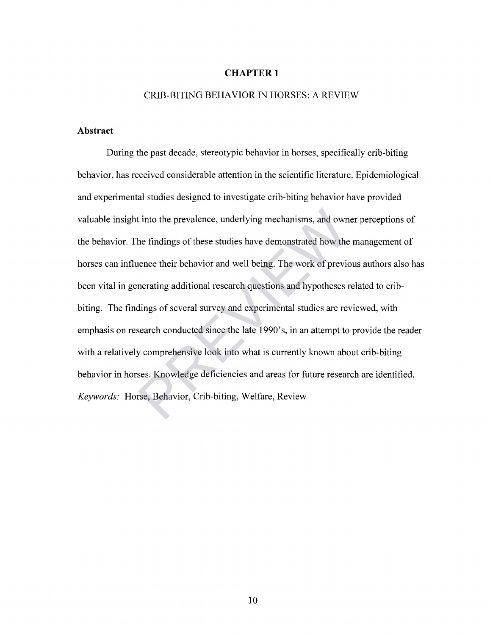## **CHAPTER 1**

## CRIB-BITING BEHAVIOR IN HORSES: A REVIEW

## **Abstract**

During the past decade, stereotypic behavior in horses, specifically crib-biting behavior, has received considerable attention in the scientific literature. Epidemiological and experimental studies designed to investigate crib-biting behavior have provided valuable insight into the prevalence, underlying mechanisms, and owner perceptions of the behavior. The findings of these studies have demonstrated how the management of horses can influence their behavior and well being. The work of previous authors also has been vital in generating additional research questions and hypotheses related to cribbiting. The findings of several survey and experimental studies are reviewed, with emphasis on research conducted since the late 1990's, in an attempt to provide the reader with a relatively comprehensive look into what is currently known about crib-biting behavior in horses. Knowledge deficiencies and areas for future research are identified. *Keywords:* Horse, Behavior, Crib-biting, Welfare, Review t into the prevalence, underlying mechanisms, and own<br>the findings of these studies have demonstrated how the<br>nence their behavior and well being. The work of previous<br>nerating additional research questions and hypotheses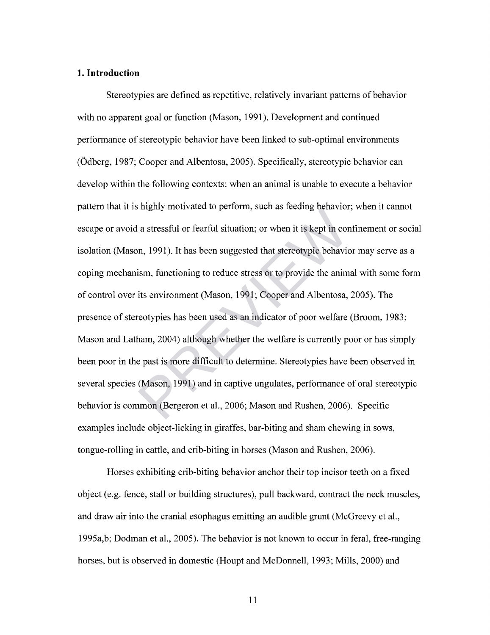### **1. Introduction**

Stereotypies are defined as repetitive, relatively invariant patterns of behavior with no apparent goal or function (Mason, 1991). Development and continued performance of stereotypic behavior have been linked to sub-optimal environments (Odberg, 1987; Cooper and Albentosa, 2005). Specifically, stereotypic behavior can develop within the following contexts: when an animal is unable to execute a behavior pattern that it is highly motivated to perform, such as feeding behavior; when it cannot escape or avoid a stressful or fearful situation; or when it is kept in confinement or social isolation (Mason, 1991). It has been suggested that stereotypic behavior may serve as a coping mechanism, functioning to reduce stress or to provide the animal with some form of control over its environment (Mason, 1991; Cooper and Albentosa, 2005). The presence of stereotypies has been used as an indicator of poor welfare (Broom, 1983; Mason and Latham, 2004) although whether the welfare is currently poor or has simply been poor in the past is more difficult to determine. Stereotypies have been observed in several species (Mason, 1991) and in captive ungulates, performance of oral stereotypic behavior is common (Bergeron et al., 2006; Mason and Rushen, 2006). Specific examples include object-licking in giraffes, bar-biting and sham chewing in sows, tongue-rolling in cattle, and crib-biting in horses (Mason and Rushen, 2006). a stressful or fearful situation; or when it is kept in corn, 1991). It has been suggested that stereotypic behavior, functioning to reduce stress or to provide the animits environment (Mason, 1991; Cooper and Albentosa, r

Horses exhibiting crib-biting behavior anchor their top incisor teeth on a fixed object (e.g. fence, stall or building structures), pull backward, contract the neck muscles, and draw air into the cranial esophagus emitting an audible grunt (McGreevy et al., 1995a,b; Dodman et al., 2005). The behavior is not known to occur in feral, free-ranging horses, but is observed in domestic (Houpt and McDonnell, 1993; Mills, 2000) and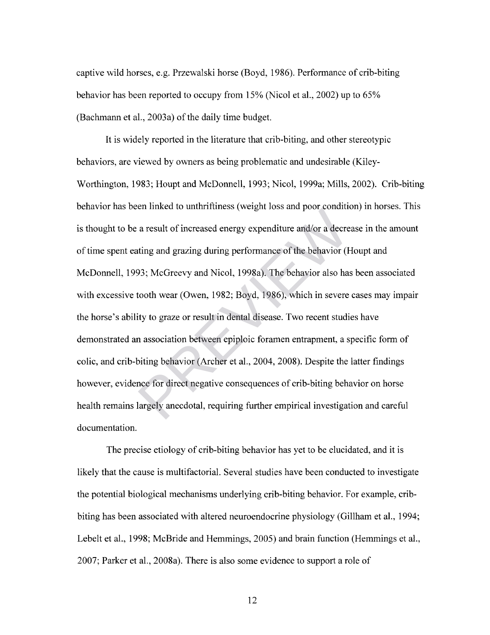captive wild horses, e.g. Przewalski horse (Boyd, 1986). Performance of crib-biting behavior has been reported to occupy from 15% (Nicol et al., 2002) up to 65% (Bachmann et al., 2003a) of the daily time budget.

It is widely reported in the literature that crib-biting, and other stereotypic behaviors, are viewed by owners as being problematic and undesirable (Kiley-Worthington, 1983; Houpt and McDonnell, 1993; Nicol, 1999a; Mills, 2002). Crib-biting behavior has been linked to unthriftiness (weight loss and poor condition) in horses. This is thought to be a result of increased energy expenditure and/or a decrease in the amount of time spent eating and grazing during performance of the behavior (Houpt and McDonnell, 1993; McGreevy and Nicol, 1998a). The behavior also has been associated with excessive tooth wear (Owen, 1982; Boyd, 1986), which in severe cases may impair the horse's ability to graze or result in dental disease. Two recent studies have demonstrated an association between epiploic foramen entrapment, a specific form of colic, and crib-biting behavior (Archer et al., 2004, 2008). Despite the latter findings however, evidence for direct negative consequences of crib-biting behavior on horse health remains largely anecdotal, requiring further empirical investigation and careful documentation. a result of increased energy expenditure and/or a decreased energy expenditure and/or a decreating and grazing during performance of the behavior (F4); McGreevy and Nicol, 1998a). The behavior also has tooth wear (Owen, 19

The precise etiology of crib-biting behavior has yet to be elucidated, and it is likely that the cause is multifactorial. Several studies have been conducted to investigate the potential biological mechanisms underlying crib-biting behavior. For example, cribbiting has been associated with altered neuroendocrine physiology (Gillham et al., 1994; Lebelt et al., 1998; McBride and Hemmings, 2005) and brain function (Hemmings et al., 2007; Parker et al., 2008a). There is also some evidence to support a role of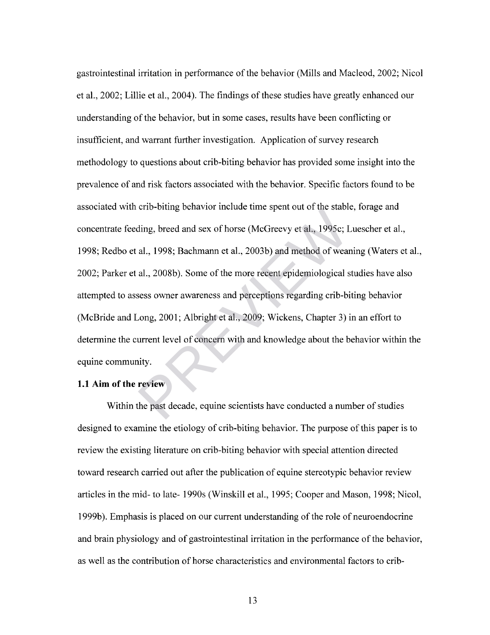gastrointestinal irritation in performance of the behavior (Mills and Macleod, 2002; Nicol et al., 2002; Lillie et al., 2004). The findings of these studies have greatly enhanced our understanding of the behavior, but in some cases, results have been conflicting or insufficient, and warrant further investigation. Application of survey research methodology to questions about crib-biting behavior has provided some insight into the prevalence of and risk factors associated with the behavior. Specific factors found to be associated with crib-biting behavior include time spent out of the stable, forage and concentrate feeding, breed and sex of horse (McGreevy et al., 1995c; Luescher et al., 1998; Redbo et al., 1998; Bachmann et al., 2003b) and method of weaning (Waters et al., 2002; Parker et al., 2008b). Some of the more recent epidemiological studies have also attempted to assess owner awareness and perceptions regarding crib-biting behavior (McBride and Long, 2001; Albright et al., 2009; Wickens, Chapter 3) in an effort to determine the current level of concern with and knowledge about the behavior within the equine community. eno-oning behavior include time spent out of the state<br>ding, breed and sex of horse (McGreevy et al., 1995c; I<br>al., 1998; Bachmann et al., 2003b) and method of wea<br>al., 2008b). Some of the more recent epidemiological s<br>ses

## **1.1 Aim of the review**

Within the past decade, equine scientists have conducted a number of studies designed to examine the etiology of crib-biting behavior. The purpose of this paper is to review the existing literature on crib-biting behavior with special attention directed toward research carried out after the publication of equine stereotypic behavior review articles in the mid- to late- 1990s (Winskill et al, 1995; Cooper and Mason, 1998; Nicol, 1999b). Emphasis is placed on our current understanding of the role of neuroendocrine and brain physiology and of gastrointestinal irritation in the performance of the behavior, as well as the contribution of horse characteristics and environmental factors to crib-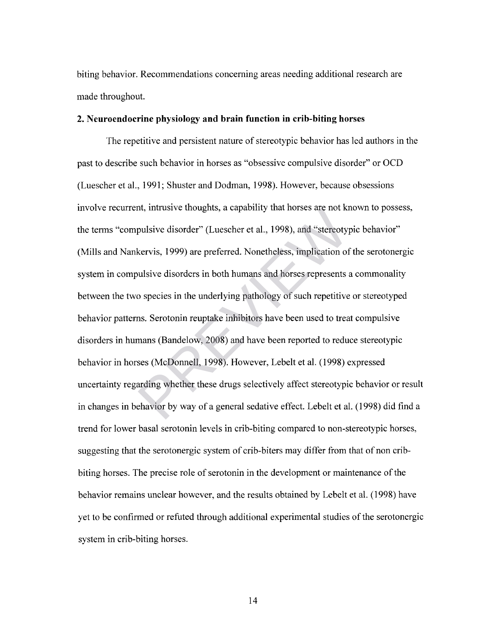biting behavior. Recommendations concerning areas needing additional research are made throughout.

#### **2. Neuroendocrine physiology and brain function in crib-biting horses**

The repetitive and persistent nature of stereotypic behavior has led authors in the past to describe such behavior in horses as "obsessive compulsive disorder" or OCD (Luescher et al., 1991; Shuster and Dodman, 1998). However, because obsessions involve recurrent, intrusive thoughts, a capability that horses are not known to possess, the terms "compulsive disorder" (Luescher et al., 1998), and "stereotypic behavior" (Mills and Nankervis, 1999) are preferred. Nonetheless, implication of the serotonergic system in compulsive disorders in both humans and horses represents a commonality between the two species in the underlying pathology of such repetitive or stereotyped behavior patterns. Serotonin reuptake inhibitors have been used to treat compulsive disorders in humans (Bandelow, 2008) and have been reported to reduce stereotypic behavior in horses (McDonnell, 1998). However, Lebelt et al. (1998) expressed uncertainty regarding whether these drugs selectively affect stereotypic behavior or result in changes in behavior by way of a general sedative effect. Lebelt et al. (1998) did find a trend for lower basal serotonin levels in crib-biting compared to non-stereotypic horses, suggesting that the serotonergic system of crib-biters may differ from that of non cribbiting horses. The precise role of serotonin in the development or maintenance of the behavior remains unclear however, and the results obtained by Lebelt et al. (1998) have yet to be confirmed or refuted through additional experimental studies of the serotonergic system in crib-biting horses. nt, intrustve thoughts, a capability that horses are not kind<br>pulsive disorder" (Luescher et al., 1998), and "stereoty<br>kervis, 1999) are preferred. Nonetheless, implication of<br>ulsive disorders in both humans and horses rep